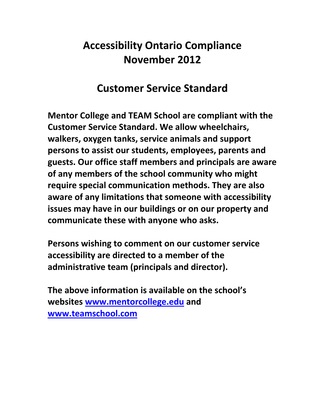# **Accessibility Ontario Compliance November 2012**

#### **Customer Service Standard**

**Mentor College and TEAM School are compliant with the Customer Service Standard. We allow wheelchairs, walkers, oxygen tanks, service animals and support persons to assist our students, employees, parents and guests. Our office staff members and principals are aware of any members of the school community who might require special communication methods. They are also aware of any limitations that someone with accessibility issues may have in our buildings or on our property and communicate these with anyone who asks.** 

**Persons wishing to comment on our customer service accessibility are directed to a member of the administrative team (principals and director).** 

**The above information is available on the school's websites www.mentorcollege.edu and www.teamschool.com**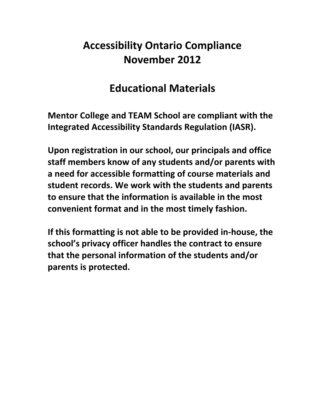# **Accessibility Ontario Compliance November 2012**

#### **Educational Materials**

**Mentor College and TEAM School are compliant with the Integrated Accessibility Standards Regulation (IASR).**

**Upon registration in our school, our principals and office staff members know of any students and/or parents with a need for accessible formatting of course materials and student records. We work with the students and parents to ensure that the information is available in the most convenient format and in the most timely fashion.**

**If this formatting is not able to be provided in‐house, the school's privacy officer handles the contract to ensure that the personal information of the students and/or parents is protected.**